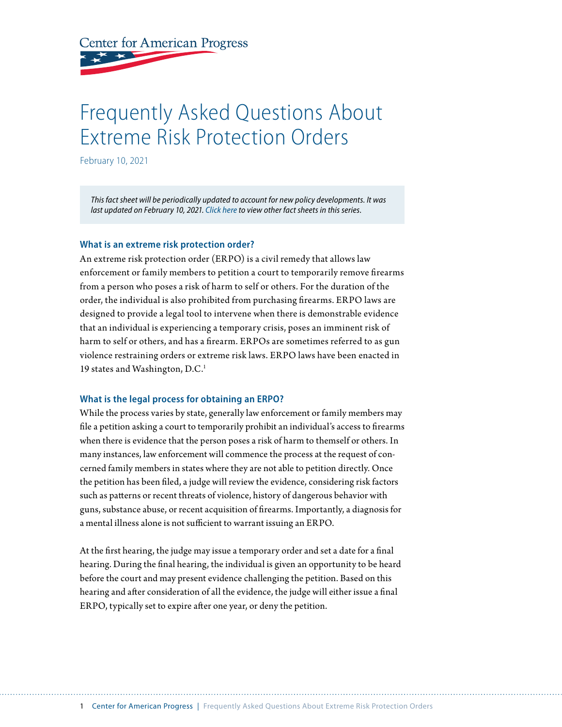**Center for American Progress** 

# Frequently Asked Questions About Extreme Risk Protection Orders

February 10, 2021

*This fact sheet will be periodically updated to account for new policy developments. It was last updated on February 10, 2021. Click here to view other fact sheets in this series.*

## **What is an extreme risk protection order?**

An extreme risk protection order (ERPO) is a civil remedy that allows law enforcement or family members to petition a court to temporarily remove firearms from a person who poses a risk of harm to self or others. For the duration of the order, the individual is also prohibited from purchasing firearms. ERPO laws are designed to provide a legal tool to intervene when there is demonstrable evidence that an individual is experiencing a temporary crisis, poses an imminent risk of harm to self or others, and has a firearm. ERPOs are sometimes referred to as gun violence restraining orders or extreme risk laws. ERPO laws have been enacted in 19 states and Washington, D.C.<sup>1</sup>

## **What is the legal process for obtaining an ERPO?**

While the process varies by state, generally law enforcement or family members may file a petition asking a court to temporarily prohibit an individual's access to firearms when there is evidence that the person poses a risk of harm to themself or others. In many instances, law enforcement will commence the process at the request of concerned family members in states where they are not able to petition directly. Once the petition has been filed, a judge will review the evidence, considering risk factors such as patterns or recent threats of violence, history of dangerous behavior with guns, substance abuse, or recent acquisition of firearms. Importantly, a diagnosis for a mental illness alone is not sufficient to warrant issuing an ERPO.

At the first hearing, the judge may issue a temporary order and set a date for a final hearing. During the final hearing, the individual is given an opportunity to be heard before the court and may present evidence challenging the petition. Based on this hearing and after consideration of all the evidence, the judge will either issue a final ERPO, typically set to expire after one year, or deny the petition.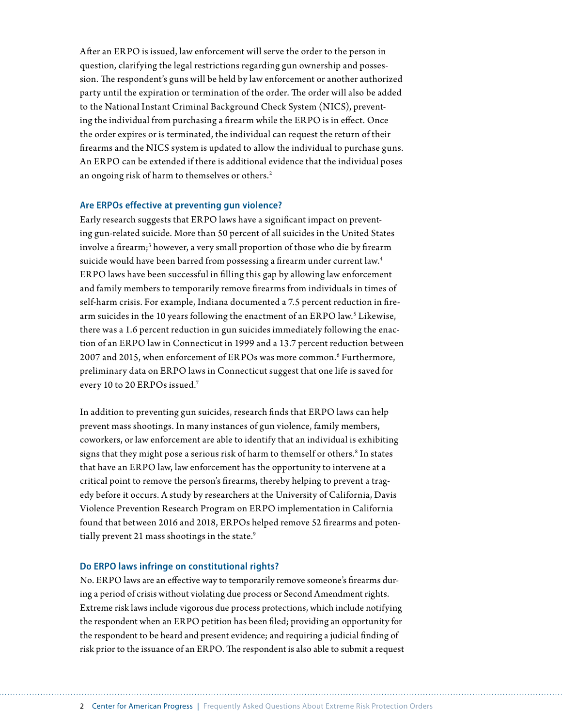After an ERPO is issued, law enforcement will serve the order to the person in question, clarifying the legal restrictions regarding gun ownership and possession. The respondent's guns will be held by law enforcement or another authorized party until the expiration or termination of the order. The order will also be added to the National Instant Criminal Background Check System (NICS), preventing the individual from purchasing a firearm while the ERPO is in effect. Once the order expires or is terminated, the individual can request the return of their firearms and the NICS system is updated to allow the individual to purchase guns. An ERPO can be extended if there is additional evidence that the individual poses an ongoing risk of harm to themselves or others.<sup>2</sup>

#### **Are ERPOs effective at preventing gun violence?**

Early research suggests that ERPO laws have a significant impact on preventing gun-related suicide. More than 50 percent of all suicides in the United States involve a firearm;<sup>3</sup> however, a very small proportion of those who die by firearm suicide would have been barred from possessing a firearm under current law.<sup>4</sup> ERPO laws have been successful in filling this gap by allowing law enforcement and family members to temporarily remove firearms from individuals in times of self-harm crisis. For example, Indiana documented a 7.5 percent reduction in firearm suicides in the 10 years following the enactment of an ERPO law.<sup>5</sup> Likewise, there was a 1.6 percent reduction in gun suicides immediately following the enaction of an ERPO law in Connecticut in 1999 and a 13.7 percent reduction between 2007 and 2015, when enforcement of ERPOs was more common.6 Furthermore, preliminary data on ERPO laws in Connecticut suggest that one life is saved for every 10 to 20 ERPOs issued.7

In addition to preventing gun suicides, research finds that ERPO laws can help prevent mass shootings. In many instances of gun violence, family members, coworkers, or law enforcement are able to identify that an individual is exhibiting signs that they might pose a serious risk of harm to themself or others.<sup>8</sup> In states that have an ERPO law, law enforcement has the opportunity to intervene at a critical point to remove the person's firearms, thereby helping to prevent a tragedy before it occurs. A study by researchers at the University of California, Davis Violence Prevention Research Program on ERPO implementation in California found that between 2016 and 2018, ERPOs helped remove 52 firearms and potentially prevent 21 mass shootings in the state.<sup>9</sup>

## **Do ERPO laws infringe on constitutional rights?**

No. ERPO laws are an effective way to temporarily remove someone's firearms during a period of crisis without violating due process or Second Amendment rights. Extreme risk laws include vigorous due process protections, which include notifying the respondent when an ERPO petition has been filed; providing an opportunity for the respondent to be heard and present evidence; and requiring a judicial finding of risk prior to the issuance of an ERPO. The respondent is also able to submit a request